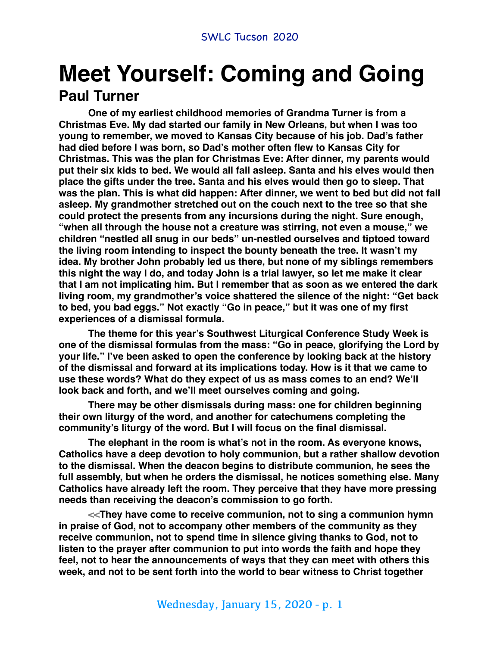# **Meet Yourself: Coming and Going Paul Turner**

**One of my earliest childhood memories of Grandma Turner is from a Christmas Eve. My dad started our family in New Orleans, but when I was too young to remember, we moved to Kansas City because of his job. Dad's father had died before I was born, so Dad's mother often flew to Kansas City for Christmas. This was the plan for Christmas Eve: After dinner, my parents would put their six kids to bed. We would all fall asleep. Santa and his elves would then place the gifts under the tree. Santa and his elves would then go to sleep. That was the plan. This is what did happen: After dinner, we went to bed but did not fall asleep. My grandmother stretched out on the couch next to the tree so that she could protect the presents from any incursions during the night. Sure enough, "when all through the house not a creature was stirring, not even a mouse," we children "nestled all snug in our beds" un-nestled ourselves and tiptoed toward the living room intending to inspect the bounty beneath the tree. It wasn't my idea. My brother John probably led us there, but none of my siblings remembers this night the way I do, and today John is a trial lawyer, so let me make it clear that I am not implicating him. But I remember that as soon as we entered the dark living room, my grandmother's voice shattered the silence of the night: "Get back to bed, you bad eggs." Not exactly "Go in peace," but it was one of my first experiences of a dismissal formula.**

**The theme for this year's Southwest Liturgical Conference Study Week is one of the dismissal formulas from the mass: "Go in peace, glorifying the Lord by your life." I've been asked to open the conference by looking back at the history of the dismissal and forward at its implications today. How is it that we came to use these words? What do they expect of us as mass comes to an end? We'll look back and forth, and we'll meet ourselves coming and going.**

**There may be other dismissals during mass: one for children beginning their own liturgy of the word, and another for catechumens completing the community's liturgy of the word. But I will focus on the final dismissal.**

**The elephant in the room is what's not in the room. As everyone knows, Catholics have a deep devotion to holy communion, but a rather shallow devotion to the dismissal. When the deacon begins to distribute communion, he sees the full assembly, but when he orders the dismissal, he notices something else. Many Catholics have already left the room. They perceive that they have more pressing needs than receiving the deacon's commission to go forth.**

**<<They have come to receive communion, not to sing a communion hymn in praise of God, not to accompany other members of the community as they receive communion, not to spend time in silence giving thanks to God, not to listen to the prayer after communion to put into words the faith and hope they feel, not to hear the announcements of ways that they can meet with others this week, and not to be sent forth into the world to bear witness to Christ together**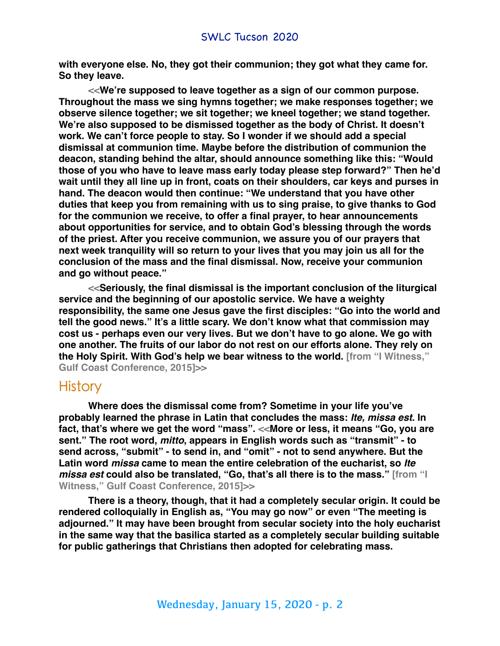**with everyone else. No, they got their communion; they got what they came for. So they leave.**

**<<We're supposed to leave together as a sign of our common purpose. Throughout the mass we sing hymns together; we make responses together; we observe silence together; we sit together; we kneel together; we stand together. We're also supposed to be dismissed together as the body of Christ. It doesn't work. We can't force people to stay. So I wonder if we should add a special dismissal at communion time. Maybe before the distribution of communion the deacon, standing behind the altar, should announce something like this: "Would those of you who have to leave mass early today please step forward?" Then he'd wait until they all line up in front, coats on their shoulders, car keys and purses in hand. The deacon would then continue: "We understand that you have other duties that keep you from remaining with us to sing praise, to give thanks to God for the communion we receive, to offer a final prayer, to hear announcements about opportunities for service, and to obtain God's blessing through the words of the priest. After you receive communion, we assure you of our prayers that next week tranquility will so return to your lives that you may join us all for the conclusion of the mass and the final dismissal. Now, receive your communion and go without peace."**

**<<Seriously, the final dismissal is the important conclusion of the liturgical service and the beginning of our apostolic service. We have a weighty responsibility, the same one Jesus gave the first disciples: "Go into the world and tell the good news." It's a little scary. We don't know what that commission may cost us - perhaps even our very lives. But we don't have to go alone. We go with one another. The fruits of our labor do not rest on our efforts alone. They rely on the Holy Spirit. With God's help we bear witness to the world. [from "I Witness," Gulf Coast Conference, 2015]>>**

### **History**

**Where does the dismissal come from? Sometime in your life you've probably learned the phrase in Latin that concludes the mass:** *Ite, missa est***. In fact, that's where we get the word "mass". <<More or less, it means "Go, you are sent." The root word,** *mitto***, appears in English words such as "transmit" - to send across, "submit" - to send in, and "omit" - not to send anywhere. But the Latin word** *missa* **came to mean the entire celebration of the eucharist, so** *Ite missa est* **could also be translated, "Go, that's all there is to the mass." [from "I Witness," Gulf Coast Conference, 2015]>>**

**There is a theory, though, that it had a completely secular origin. It could be rendered colloquially in English as, "You may go now" or even "The meeting is adjourned." It may have been brought from secular society into the holy eucharist in the same way that the basilica started as a completely secular building suitable for public gatherings that Christians then adopted for celebrating mass.**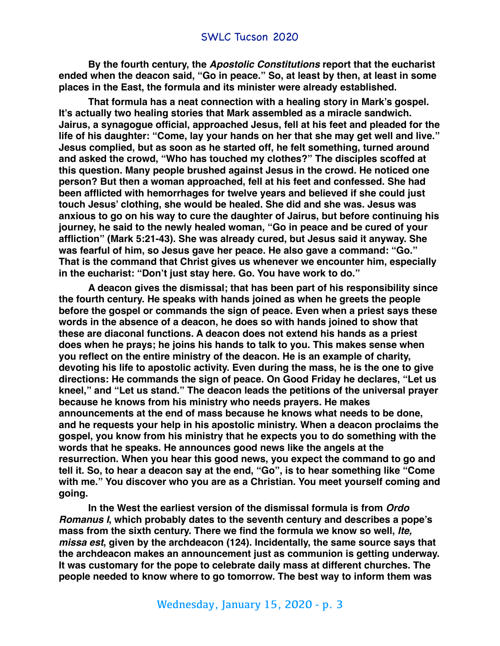**By the fourth century, the** *Apostolic Constitutions* **report that the eucharist ended when the deacon said, "Go in peace." So, at least by then, at least in some places in the East, the formula and its minister were already established.** 

**That formula has a neat connection with a healing story in Mark's gospel. It's actually two healing stories that Mark assembled as a miracle sandwich. Jairus, a synagogue official, approached Jesus, fell at his feet and pleaded for the life of his daughter: "Come, lay your hands on her that she may get well and live." Jesus complied, but as soon as he started off, he felt something, turned around and asked the crowd, "Who has touched my clothes?" The disciples scoffed at this question. Many people brushed against Jesus in the crowd. He noticed one person? But then a woman approached, fell at his feet and confessed. She had been afflicted with hemorrhages for twelve years and believed if she could just touch Jesus' clothing, she would be healed. She did and she was. Jesus was anxious to go on his way to cure the daughter of Jairus, but before continuing his journey, he said to the newly healed woman, "Go in peace and be cured of your affliction" (Mark 5:21-43). She was already cured, but Jesus said it anyway. She was fearful of him, so Jesus gave her peace. He also gave a command: "Go." That is the command that Christ gives us whenever we encounter him, especially in the eucharist: "Don't just stay here. Go. You have work to do."**

**A deacon gives the dismissal; that has been part of his responsibility since the fourth century. He speaks with hands joined as when he greets the people before the gospel or commands the sign of peace. Even when a priest says these words in the absence of a deacon, he does so with hands joined to show that these are diaconal functions. A deacon does not extend his hands as a priest does when he prays; he joins his hands to talk to you. This makes sense when you reflect on the entire ministry of the deacon. He is an example of charity, devoting his life to apostolic activity. Even during the mass, he is the one to give directions: He commands the sign of peace. On Good Friday he declares, "Let us kneel," and "Let us stand." The deacon leads the petitions of the universal prayer because he knows from his ministry who needs prayers. He makes announcements at the end of mass because he knows what needs to be done, and he requests your help in his apostolic ministry. When a deacon proclaims the gospel, you know from his ministry that he expects you to do something with the words that he speaks. He announces good news like the angels at the resurrection. When you hear this good news, you expect the command to go and tell it. So, to hear a deacon say at the end, "Go", is to hear something like "Come with me." You discover who you are as a Christian. You meet yourself coming and going.**

**In the West the earliest version of the dismissal formula is from** *Ordo Romanus I***, which probably dates to the seventh century and describes a pope's mass from the sixth century. There we find the formula we know so well,** *Ite, missa est***, given by the archdeacon (124). Incidentally, the same source says that the archdeacon makes an announcement just as communion is getting underway. It was customary for the pope to celebrate daily mass at different churches. The people needed to know where to go tomorrow. The best way to inform them was**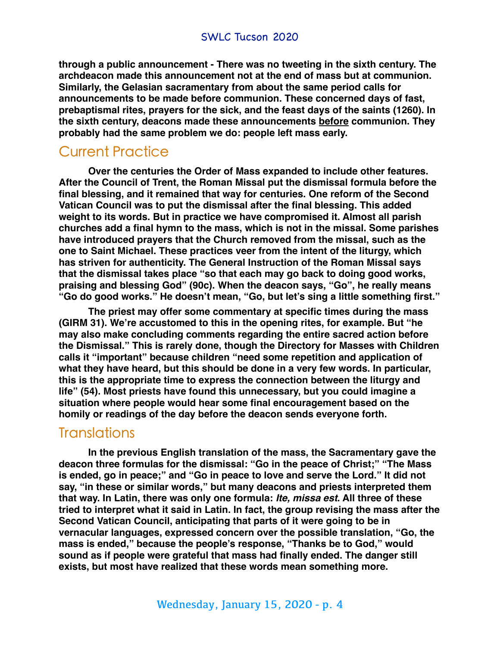**through a public announcement - There was no tweeting in the sixth century. The archdeacon made this announcement not at the end of mass but at communion. Similarly, the Gelasian sacramentary from about the same period calls for announcements to be made before communion. These concerned days of fast, prebaptismal rites, prayers for the sick, and the feast days of the saints (1260). In the sixth century, deacons made these announcements before communion. They probably had the same problem we do: people left mass early.**

## Current Practice

**Over the centuries the Order of Mass expanded to include other features. After the Council of Trent, the Roman Missal put the dismissal formula before the final blessing, and it remained that way for centuries. One reform of the Second Vatican Council was to put the dismissal after the final blessing. This added weight to its words. But in practice we have compromised it. Almost all parish churches add a final hymn to the mass, which is not in the missal. Some parishes have introduced prayers that the Church removed from the missal, such as the one to Saint Michael. These practices veer from the intent of the liturgy, which has striven for authenticity. The General Instruction of the Roman Missal says that the dismissal takes place "so that each may go back to doing good works, praising and blessing God" (90c). When the deacon says, "Go", he really means "Go do good works." He doesn't mean, "Go, but let's sing a little something first."**

**The priest may offer some commentary at specific times during the mass (GIRM 31). We're accustomed to this in the opening rites, for example. But "he may also make concluding comments regarding the entire sacred action before the Dismissal." This is rarely done, though the Directory for Masses with Children calls it "important" because children "need some repetition and application of what they have heard, but this should be done in a very few words. In particular, this is the appropriate time to express the connection between the liturgy and life" (54). Most priests have found this unnecessary, but you could imagine a situation where people would hear some final encouragement based on the homily or readings of the day before the deacon sends everyone forth.**

## **Translations**

**In the previous English translation of the mass, the Sacramentary gave the deacon three formulas for the dismissal: "Go in the peace of Christ;" "The Mass is ended, go in peace;" and "Go in peace to love and serve the Lord." It did not say, "in these or similar words," but many deacons and priests interpreted them that way. In Latin, there was only one formula:** *Ite, missa est***. All three of these tried to interpret what it said in Latin. In fact, the group revising the mass after the Second Vatican Council, anticipating that parts of it were going to be in vernacular languages, expressed concern over the possible translation, "Go, the mass is ended," because the people's response, "Thanks be to God," would sound as if people were grateful that mass had finally ended. The danger still exists, but most have realized that these words mean something more.**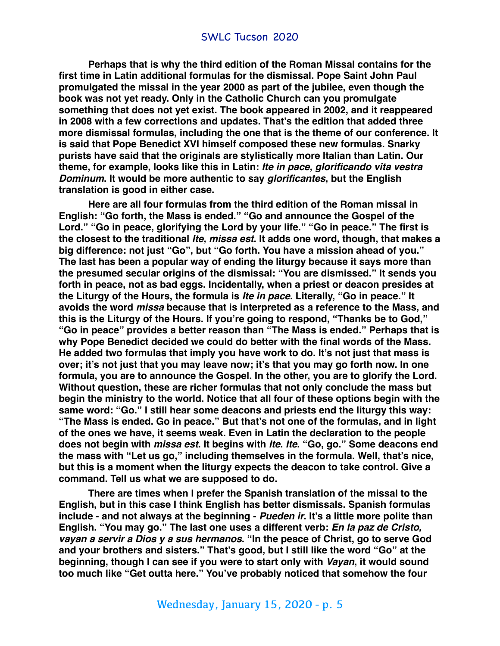**Perhaps that is why the third edition of the Roman Missal contains for the first time in Latin additional formulas for the dismissal. Pope Saint John Paul promulgated the missal in the year 2000 as part of the jubilee, even though the book was not yet ready. Only in the Catholic Church can you promulgate something that does not yet exist. The book appeared in 2002, and it reappeared in 2008 with a few corrections and updates. That's the edition that added three more dismissal formulas, including the one that is the theme of our conference. It is said that Pope Benedict XVI himself composed these new formulas. Snarky purists have said that the originals are stylistically more Italian than Latin. Our theme, for example, looks like this in Latin:** *Ite in pace, glorificando vita vestra Dominum***. It would be more authentic to say** *glorificantes***, but the English translation is good in either case.**

**Here are all four formulas from the third edition of the Roman missal in English: "Go forth, the Mass is ended." "Go and announce the Gospel of the Lord." "Go in peace, glorifying the Lord by your life." "Go in peace." The first is the closest to the traditional** *Ite, missa est***. It adds one word, though, that makes a big difference: not just "Go", but "Go forth. You have a mission ahead of you." The last has been a popular way of ending the liturgy because it says more than the presumed secular origins of the dismissal: "You are dismissed." It sends you forth in peace, not as bad eggs. Incidentally, when a priest or deacon presides at the Liturgy of the Hours, the formula is** *Ite in pace***. Literally, "Go in peace." It avoids the word** *missa* **because that is interpreted as a reference to the Mass, and this is the Liturgy of the Hours. If you're going to respond, "Thanks be to God," "Go in peace" provides a better reason than "The Mass is ended." Perhaps that is why Pope Benedict decided we could do better with the final words of the Mass. He added two formulas that imply you have work to do. It's not just that mass is over; it's not just that you may leave now; it's that you may go forth now. In one formula, you are to announce the Gospel. In the other, you are to glorify the Lord. Without question, these are richer formulas that not only conclude the mass but begin the ministry to the world. Notice that all four of these options begin with the same word: "Go." I still hear some deacons and priests end the liturgy this way: "The Mass is ended. Go in peace." But that's not one of the formulas, and in light of the ones we have, it seems weak. Even in Latin the declaration to the people does not begin with** *missa est***. It begins with** *Ite***.** *Ite***. "Go, go." Some deacons end the mass with "Let us go," including themselves in the formula. Well, that's nice, but this is a moment when the liturgy expects the deacon to take control. Give a command. Tell us what we are supposed to do.**

**There are times when I prefer the Spanish translation of the missal to the English, but in this case I think English has better dismissals. Spanish formulas include - and not always at the beginning -** *Pueden ir***. It's a little more polite than English. "You may go." The last one uses a different verb:** *En la paz de Cristo, vayan a servir a Dios y a sus hermanos***. "In the peace of Christ, go to serve God and your brothers and sisters." That's good, but I still like the word "Go" at the beginning, though I can see if you were to start only with** *Vayan***, it would sound too much like "Get outta here." You've probably noticed that somehow the four**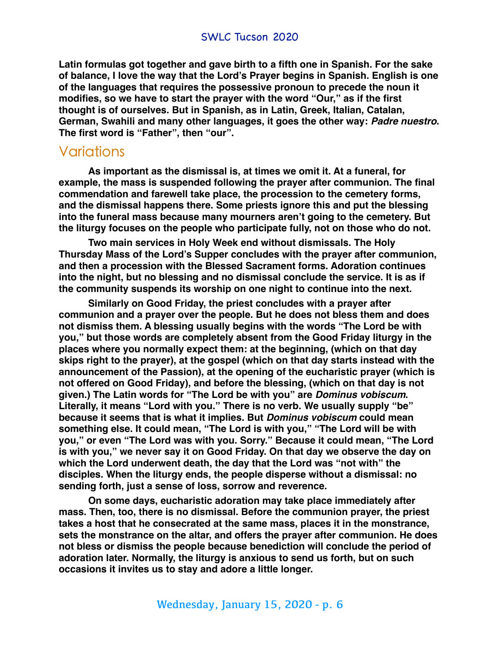**Latin formulas got together and gave birth to a fifth one in Spanish. For the sake of balance, I love the way that the Lord's Prayer begins in Spanish. English is one of the languages that requires the possessive pronoun to precede the noun it modifies, so we have to start the prayer with the word "Our," as if the first thought is of ourselves. But in Spanish, as in Latin, Greek, Italian, Catalan, German, Swahili and many other languages, it goes the other way:** *Padre nuestro***. The first word is "Father", then "our".**

## Variations

**As important as the dismissal is, at times we omit it. At a funeral, for example, the mass is suspended following the prayer after communion. The final commendation and farewell take place, the procession to the cemetery forms, and the dismissal happens there. Some priests ignore this and put the blessing into the funeral mass because many mourners aren't going to the cemetery. But the liturgy focuses on the people who participate fully, not on those who do not.**

**Two main services in Holy Week end without dismissals. The Holy Thursday Mass of the Lord's Supper concludes with the prayer after communion, and then a procession with the Blessed Sacrament forms. Adoration continues into the night, but no blessing and no dismissal conclude the service. It is as if the community suspends its worship on one night to continue into the next.**

**Similarly on Good Friday, the priest concludes with a prayer after communion and a prayer over the people. But he does not bless them and does not dismiss them. A blessing usually begins with the words "The Lord be with you," but those words are completely absent from the Good Friday liturgy in the places where you normally expect them: at the beginning, (which on that day skips right to the prayer), at the gospel (which on that day starts instead with the announcement of the Passion), at the opening of the eucharistic prayer (which is not offered on Good Friday), and before the blessing, (which on that day is not given.) The Latin words for "The Lord be with you" are** *Dominus vobiscum***. Literally, it means "Lord with you." There is no verb. We usually supply "be" because it seems that is what it implies. But** *Dominus vobiscum* **could mean something else. It could mean, "The Lord is with you," "The Lord will be with you," or even "The Lord was with you. Sorry." Because it could mean, "The Lord is with you," we never say it on Good Friday. On that day we observe the day on which the Lord underwent death, the day that the Lord was "not with" the disciples. When the liturgy ends, the people disperse without a dismissal: no sending forth, just a sense of loss, sorrow and reverence.**

**On some days, eucharistic adoration may take place immediately after mass. Then, too, there is no dismissal. Before the communion prayer, the priest takes a host that he consecrated at the same mass, places it in the monstrance, sets the monstrance on the altar, and offers the prayer after communion. He does not bless or dismiss the people because benediction will conclude the period of adoration later. Normally, the liturgy is anxious to send us forth, but on such occasions it invites us to stay and adore a little longer.**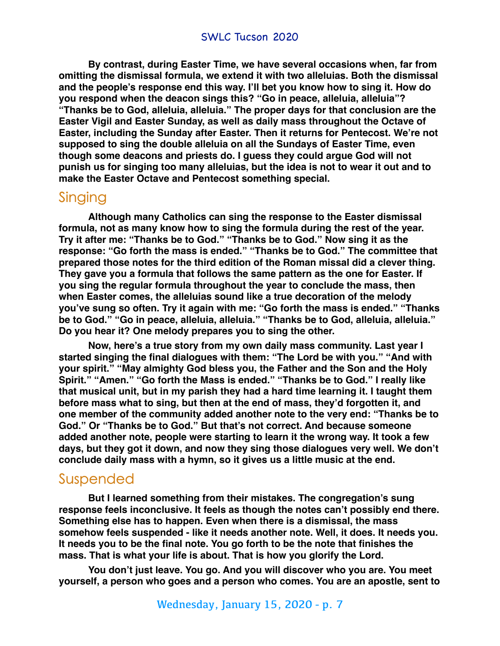**By contrast, during Easter Time, we have several occasions when, far from omitting the dismissal formula, we extend it with two alleluias. Both the dismissal and the people's response end this way. I'll bet you know how to sing it. How do you respond when the deacon sings this? "Go in peace, alleluia, alleluia"? "Thanks be to God, alleluia, alleluia." The proper days for that conclusion are the Easter Vigil and Easter Sunday, as well as daily mass throughout the Octave of Easter, including the Sunday after Easter. Then it returns for Pentecost. We're not supposed to sing the double alleluia on all the Sundays of Easter Time, even though some deacons and priests do. I guess they could argue God will not punish us for singing too many alleluias, but the idea is not to wear it out and to make the Easter Octave and Pentecost something special.**

## Singing

**Although many Catholics can sing the response to the Easter dismissal formula, not as many know how to sing the formula during the rest of the year. Try it after me: "Thanks be to God." "Thanks be to God." Now sing it as the response: "Go forth the mass is ended." "Thanks be to God." The committee that prepared those notes for the third edition of the Roman missal did a clever thing. They gave you a formula that follows the same pattern as the one for Easter. If you sing the regular formula throughout the year to conclude the mass, then when Easter comes, the alleluias sound like a true decoration of the melody you've sung so often. Try it again with me: "Go forth the mass is ended." "Thanks be to God." "Go in peace, alleluia, alleluia." "Thanks be to God, alleluia, alleluia." Do you hear it? One melody prepares you to sing the other.**

**Now, here's a true story from my own daily mass community. Last year I started singing the final dialogues with them: "The Lord be with you." "And with your spirit." "May almighty God bless you, the Father and the Son and the Holy Spirit." "Amen." "Go forth the Mass is ended." "Thanks be to God." I really like that musical unit, but in my parish they had a hard time learning it. I taught them before mass what to sing, but then at the end of mass, they'd forgotten it, and one member of the community added another note to the very end: "Thanks be to God." Or "Thanks be to God." But that's not correct. And because someone added another note, people were starting to learn it the wrong way. It took a few days, but they got it down, and now they sing those dialogues very well. We don't conclude daily mass with a hymn, so it gives us a little music at the end.**

## Suspended

**But I learned something from their mistakes. The congregation's sung response feels inconclusive. It feels as though the notes can't possibly end there. Something else has to happen. Even when there is a dismissal, the mass somehow feels suspended - like it needs another note. Well, it does. It needs you. It needs you to be the final note. You go forth to be the note that finishes the mass. That is what your life is about. That is how you glorify the Lord.**

**You don't just leave. You go. And you will discover who you are. You meet yourself, a person who goes and a person who comes. You are an apostle, sent to**